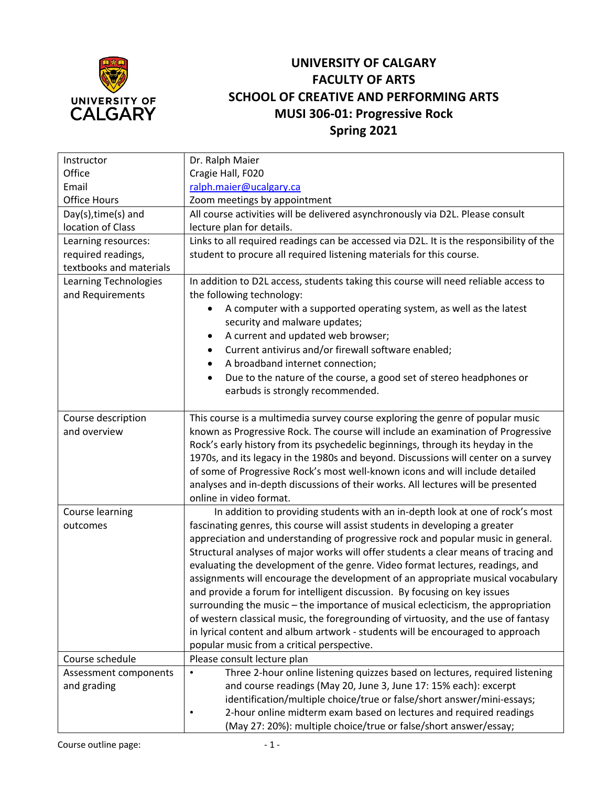

## **UNIVERSITY OF CALGARY FACULTY OF ARTS SCHOOL OF CREATIVE AND PERFORMING ARTS MUSI 306-01: Progressive Rock Spring 2021**

| Instructor              | Dr. Ralph Maier                                                                          |
|-------------------------|------------------------------------------------------------------------------------------|
| Office                  | Cragie Hall, F020                                                                        |
| Email                   | ralph.maier@ucalgary.ca                                                                  |
| <b>Office Hours</b>     | Zoom meetings by appointment                                                             |
| Day(s), time(s) and     | All course activities will be delivered asynchronously via D2L. Please consult           |
| location of Class       | lecture plan for details.                                                                |
| Learning resources:     | Links to all required readings can be accessed via D2L. It is the responsibility of the  |
| required readings,      | student to procure all required listening materials for this course.                     |
| textbooks and materials |                                                                                          |
| Learning Technologies   | In addition to D2L access, students taking this course will need reliable access to      |
| and Requirements        | the following technology:                                                                |
|                         | A computer with a supported operating system, as well as the latest                      |
|                         | security and malware updates;                                                            |
|                         | A current and updated web browser;<br>$\bullet$                                          |
|                         | Current antivirus and/or firewall software enabled;<br>$\bullet$                         |
|                         | A broadband internet connection;                                                         |
|                         | Due to the nature of the course, a good set of stereo headphones or<br>$\bullet$         |
|                         | earbuds is strongly recommended.                                                         |
|                         |                                                                                          |
| Course description      | This course is a multimedia survey course exploring the genre of popular music           |
| and overview            | known as Progressive Rock. The course will include an examination of Progressive         |
|                         | Rock's early history from its psychedelic beginnings, through its heyday in the          |
|                         | 1970s, and its legacy in the 1980s and beyond. Discussions will center on a survey       |
|                         | of some of Progressive Rock's most well-known icons and will include detailed            |
|                         | analyses and in-depth discussions of their works. All lectures will be presented         |
|                         | online in video format.                                                                  |
| Course learning         | In addition to providing students with an in-depth look at one of rock's most            |
| outcomes                | fascinating genres, this course will assist students in developing a greater             |
|                         | appreciation and understanding of progressive rock and popular music in general.         |
|                         | Structural analyses of major works will offer students a clear means of tracing and      |
|                         | evaluating the development of the genre. Video format lectures, readings, and            |
|                         | assignments will encourage the development of an appropriate musical vocabulary          |
|                         | and provide a forum for intelligent discussion. By focusing on key issues                |
|                         | surrounding the music – the importance of musical eclecticism, the appropriation         |
|                         | of western classical music, the foregrounding of virtuosity, and the use of fantasy      |
|                         | in lyrical content and album artwork - students will be encouraged to approach           |
|                         | popular music from a critical perspective.                                               |
| Course schedule         | Please consult lecture plan                                                              |
| Assessment components   | Three 2-hour online listening quizzes based on lectures, required listening<br>$\bullet$ |
| and grading             | and course readings (May 20, June 3, June 17: 15% each): excerpt                         |
|                         | identification/multiple choice/true or false/short answer/mini-essays;                   |
|                         | 2-hour online midterm exam based on lectures and required readings                       |
|                         | (May 27: 20%): multiple choice/true or false/short answer/essay;                         |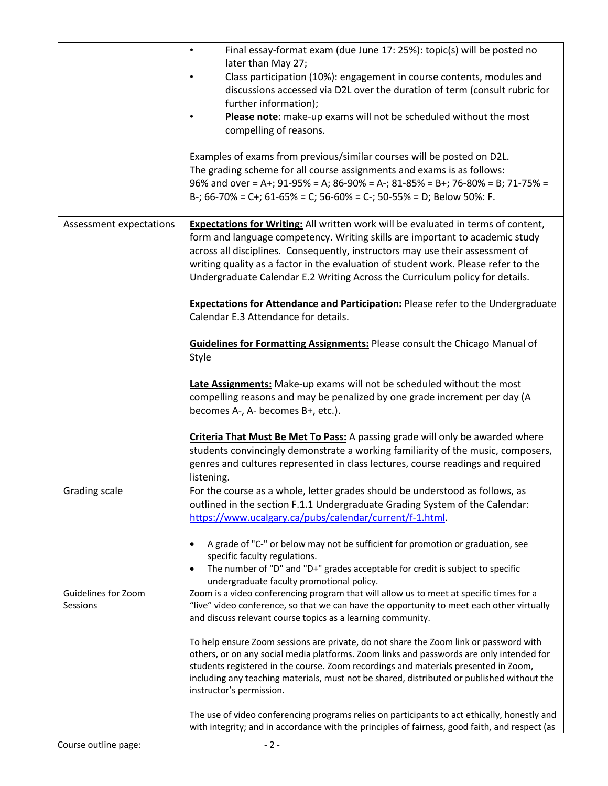|                                 | Final essay-format exam (due June 17: 25%): topic(s) will be posted no<br>$\bullet$<br>later than May 27;                                                                                                                                                                                                                                                                                                                       |
|---------------------------------|---------------------------------------------------------------------------------------------------------------------------------------------------------------------------------------------------------------------------------------------------------------------------------------------------------------------------------------------------------------------------------------------------------------------------------|
|                                 | Class participation (10%): engagement in course contents, modules and<br>discussions accessed via D2L over the duration of term (consult rubric for<br>further information);                                                                                                                                                                                                                                                    |
|                                 | Please note: make-up exams will not be scheduled without the most<br>compelling of reasons.                                                                                                                                                                                                                                                                                                                                     |
|                                 | Examples of exams from previous/similar courses will be posted on D2L.<br>The grading scheme for all course assignments and exams is as follows:<br>96% and over = A+; 91-95% = A; 86-90% = A-; 81-85% = B+; 76-80% = B; 71-75% =<br>B-; 66-70% = C+; 61-65% = C; 56-60% = C-; 50-55% = D; Below 50%: F.                                                                                                                        |
| Assessment expectations         | <b>Expectations for Writing:</b> All written work will be evaluated in terms of content,<br>form and language competency. Writing skills are important to academic study<br>across all disciplines. Consequently, instructors may use their assessment of<br>writing quality as a factor in the evaluation of student work. Please refer to the<br>Undergraduate Calendar E.2 Writing Across the Curriculum policy for details. |
|                                 | <b>Expectations for Attendance and Participation: Please refer to the Undergraduate</b><br>Calendar E.3 Attendance for details.                                                                                                                                                                                                                                                                                                 |
|                                 | <b>Guidelines for Formatting Assignments: Please consult the Chicago Manual of</b><br>Style                                                                                                                                                                                                                                                                                                                                     |
|                                 | Late Assignments: Make-up exams will not be scheduled without the most<br>compelling reasons and may be penalized by one grade increment per day (A<br>becomes A-, A- becomes B+, etc.).                                                                                                                                                                                                                                        |
|                                 | Criteria That Must Be Met To Pass: A passing grade will only be awarded where<br>students convincingly demonstrate a working familiarity of the music, composers,<br>genres and cultures represented in class lectures, course readings and required<br>listening.                                                                                                                                                              |
| Grading scale                   | For the course as a whole, letter grades should be understood as follows, as<br>outlined in the section F.1.1 Undergraduate Grading System of the Calendar:<br>https://www.ucalgary.ca/pubs/calendar/current/f-1.html.                                                                                                                                                                                                          |
|                                 | A grade of "C-" or below may not be sufficient for promotion or graduation, see<br>specific faculty regulations.<br>The number of "D" and "D+" grades acceptable for credit is subject to specific<br>$\bullet$<br>undergraduate faculty promotional policy.                                                                                                                                                                    |
| Guidelines for Zoom<br>Sessions | Zoom is a video conferencing program that will allow us to meet at specific times for a<br>"live" video conference, so that we can have the opportunity to meet each other virtually<br>and discuss relevant course topics as a learning community.                                                                                                                                                                             |
|                                 | To help ensure Zoom sessions are private, do not share the Zoom link or password with<br>others, or on any social media platforms. Zoom links and passwords are only intended for<br>students registered in the course. Zoom recordings and materials presented in Zoom,<br>including any teaching materials, must not be shared, distributed or published without the<br>instructor's permission.                              |
|                                 | The use of video conferencing programs relies on participants to act ethically, honestly and<br>with integrity; and in accordance with the principles of fairness, good faith, and respect (as                                                                                                                                                                                                                                  |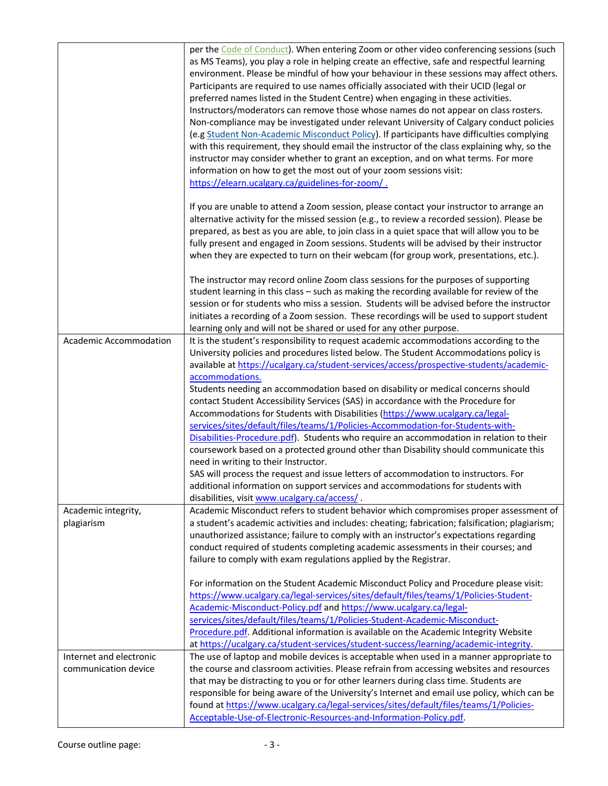|                                                 | per the Code of Conduct). When entering Zoom or other video conferencing sessions (such<br>as MS Teams), you play a role in helping create an effective, safe and respectful learning<br>environment. Please be mindful of how your behaviour in these sessions may affect others.<br>Participants are required to use names officially associated with their UCID (legal or<br>preferred names listed in the Student Centre) when engaging in these activities.<br>Instructors/moderators can remove those whose names do not appear on class rosters.<br>Non-compliance may be investigated under relevant University of Calgary conduct policies<br>(e.g Student Non-Academic Misconduct Policy). If participants have difficulties complying<br>with this requirement, they should email the instructor of the class explaining why, so the<br>instructor may consider whether to grant an exception, and on what terms. For more<br>information on how to get the most out of your zoom sessions visit:<br>https://elearn.ucalgary.ca/guidelines-for-zoom/. |
|-------------------------------------------------|------------------------------------------------------------------------------------------------------------------------------------------------------------------------------------------------------------------------------------------------------------------------------------------------------------------------------------------------------------------------------------------------------------------------------------------------------------------------------------------------------------------------------------------------------------------------------------------------------------------------------------------------------------------------------------------------------------------------------------------------------------------------------------------------------------------------------------------------------------------------------------------------------------------------------------------------------------------------------------------------------------------------------------------------------------------|
|                                                 | If you are unable to attend a Zoom session, please contact your instructor to arrange an<br>alternative activity for the missed session (e.g., to review a recorded session). Please be<br>prepared, as best as you are able, to join class in a quiet space that will allow you to be<br>fully present and engaged in Zoom sessions. Students will be advised by their instructor<br>when they are expected to turn on their webcam (for group work, presentations, etc.).                                                                                                                                                                                                                                                                                                                                                                                                                                                                                                                                                                                      |
|                                                 | The instructor may record online Zoom class sessions for the purposes of supporting<br>student learning in this class - such as making the recording available for review of the<br>session or for students who miss a session. Students will be advised before the instructor<br>initiates a recording of a Zoom session. These recordings will be used to support student<br>learning only and will not be shared or used for any other purpose.                                                                                                                                                                                                                                                                                                                                                                                                                                                                                                                                                                                                               |
| Academic Accommodation                          | It is the student's responsibility to request academic accommodations according to the<br>University policies and procedures listed below. The Student Accommodations policy is<br>available at https://ucalgary.ca/student-services/access/prospective-students/academic-<br>accommodations.                                                                                                                                                                                                                                                                                                                                                                                                                                                                                                                                                                                                                                                                                                                                                                    |
|                                                 | Students needing an accommodation based on disability or medical concerns should<br>contact Student Accessibility Services (SAS) in accordance with the Procedure for<br>Accommodations for Students with Disabilities (https://www.ucalgary.ca/legal-<br>services/sites/default/files/teams/1/Policies-Accommodation-for-Students-with-                                                                                                                                                                                                                                                                                                                                                                                                                                                                                                                                                                                                                                                                                                                         |
|                                                 | Disabilities-Procedure.pdf). Students who require an accommodation in relation to their<br>coursework based on a protected ground other than Disability should communicate this<br>need in writing to their Instructor.<br>SAS will process the request and issue letters of accommodation to instructors. For                                                                                                                                                                                                                                                                                                                                                                                                                                                                                                                                                                                                                                                                                                                                                   |
|                                                 | additional information on support services and accommodations for students with<br>disabilities, visit www.ucalgary.ca/access/                                                                                                                                                                                                                                                                                                                                                                                                                                                                                                                                                                                                                                                                                                                                                                                                                                                                                                                                   |
| Academic integrity,<br>plagiarism               | Academic Misconduct refers to student behavior which compromises proper assessment of<br>a student's academic activities and includes: cheating; fabrication; falsification; plagiarism;<br>unauthorized assistance; failure to comply with an instructor's expectations regarding<br>conduct required of students completing academic assessments in their courses; and<br>failure to comply with exam regulations applied by the Registrar.                                                                                                                                                                                                                                                                                                                                                                                                                                                                                                                                                                                                                    |
|                                                 | For information on the Student Academic Misconduct Policy and Procedure please visit:<br>https://www.ucalgary.ca/legal-services/sites/default/files/teams/1/Policies-Student-<br>Academic-Misconduct-Policy.pdf and https://www.ucalgary.ca/legal-<br>services/sites/default/files/teams/1/Policies-Student-Academic-Misconduct-                                                                                                                                                                                                                                                                                                                                                                                                                                                                                                                                                                                                                                                                                                                                 |
|                                                 | Procedure.pdf. Additional information is available on the Academic Integrity Website<br>at https://ucalgary.ca/student-services/student-success/learning/academic-integrity.                                                                                                                                                                                                                                                                                                                                                                                                                                                                                                                                                                                                                                                                                                                                                                                                                                                                                     |
| Internet and electronic<br>communication device | The use of laptop and mobile devices is acceptable when used in a manner appropriate to<br>the course and classroom activities. Please refrain from accessing websites and resources<br>that may be distracting to you or for other learners during class time. Students are<br>responsible for being aware of the University's Internet and email use policy, which can be<br>found at https://www.ucalgary.ca/legal-services/sites/default/files/teams/1/Policies-<br>Acceptable-Use-of-Electronic-Resources-and-Information-Policy.pdf.                                                                                                                                                                                                                                                                                                                                                                                                                                                                                                                       |